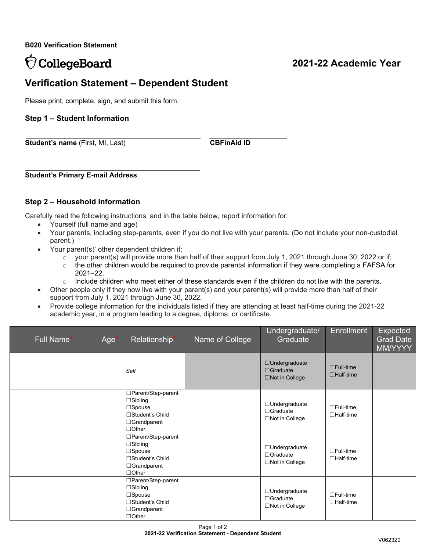**B020 Verification Statement**

# **CollegeBoard**

# **2021-22 Academic Year**

# **Verification Statement – Dependent Student**

Please print, complete, sign, and submit this form.

## **Step 1 – Student Information**

**Student's name** (First, MI, Last) **CBFinAid ID** 

**Student's Primary E-mail Address**

## **Step 2 – Household Information**

Carefully read the following instructions, and in the table below, report information for:

- Yourself (full name and age)
- Your parents, including step-parents, even if you do not live with your parents. (Do not include your non-custodial parent.)
	- Your parent(s)' other dependent children if;
		- $\circ$  your parent(s) will provide more than half of their support from July 1, 2021 through June 30, 2022 or if;
		- $\circ$  the other children would be required to provide parental information if they were completing a FAFSA for 2021–22.
		- $\circ$  Include children who meet either of these standards even if the children do not live with the parents.
- Other people only if they now live with your parent(s) and your parent(s) will provide more than half of their support from July 1, 2021 through June 30, 2022.
- Provide college information for the individuals listed if they are attending at least half-time during the 2021-22 academic year, in a program leading to a degree, diploma, or certificate.

| Full Name* | Age | Relationship*                                                                                                    | Name of College | Undergraduate/<br>Graduate                                       | <b>Enrollment</b>                    | <b>Expected</b><br><b>Grad Date</b><br>MM/YYYY |
|------------|-----|------------------------------------------------------------------------------------------------------------------|-----------------|------------------------------------------------------------------|--------------------------------------|------------------------------------------------|
|            |     | Self                                                                                                             |                 | □Undergraduate<br>$\Box$ Graduate<br>$\Box$ Not in College       | $\Box$ Full-time<br>$\Box$ Half-time |                                                |
|            |     | □Parent/Step-parent<br>$\Box$ Sibling<br>$\Box$ Spouse<br>□Student's Child<br>□Grandparent<br>$\Box$ Other       |                 | □Undergraduate<br>$\Box$ Graduate<br>□Not in College             | $\Box$ Full-time<br>$\Box$ Half-time |                                                |
|            |     | □Parent/Step-parent<br>$\Box$ Sibling<br>$\Box$ Spouse<br>□Student's Child<br>$\Box$ Grandparent<br>$\Box$ Other |                 | $\Box$ Undergraduate<br>$\Box$ Graduate<br>$\Box$ Not in College | $\Box$ Full-time<br>$\Box$ Half-time |                                                |
|            |     | □Parent/Step-parent<br>$\Box$ Sibling<br>$\Box$ Spouse<br>□Student's Child<br>$\Box$ Grandparent<br>$\Box$ Other |                 | $\Box$ Undergraduate<br>$\Box$ Graduate<br>$\Box$ Not in College | $\Box$ Full-time<br>$\Box$ Half-time |                                                |